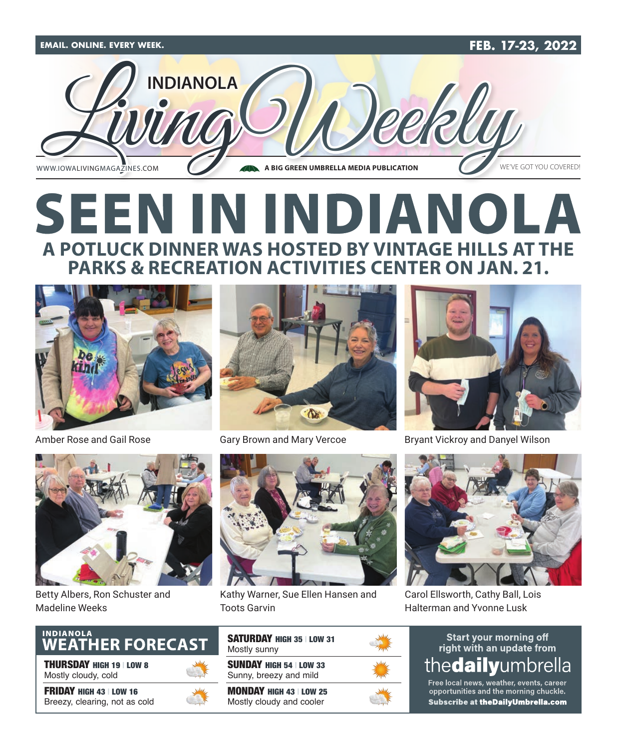

# **SEEN IN INDIANOLA A POTLUCK DINNER WAS HOSTED BY VINTAGE HILLS AT THE PARKS & RECREATION ACTIVITIES CENTER ON JAN. 21.**





Gary Brown and Mary Vercoe



Bryant Vickroy and Danyel Wilson

Amber Rose and Gail Rose



Betty Albers, Ron Schuster and Madeline Weeks



THURSDAY HIGH 19 | LOW 8 Mostly cloudy, cold

FRIDAY HIGH 43 | LOW 16 Breezy, clearing, not as cold





Kathy Warner, Sue Ellen Hansen and Toots Garvin

| <b>SATURDAY HIGH 35 LOW 31</b><br>Mostly sunny           |  |
|----------------------------------------------------------|--|
| <b>SUNDAY HIGH 54   LOW 33</b><br>Sunny, breezy and mild |  |
| <b>MONDAY HIGH 43 LOW 25</b><br>Mostly cloudy and cooler |  |



Carol Ellsworth, Cathy Ball, Lois Halterman and Yvonne Lusk

### **Start your morning off** right with an update from the**dail v**umbrella

Free local news, weather, events, career opportunities and the morning chuckle. Subscribe at the Daily Umbrella.com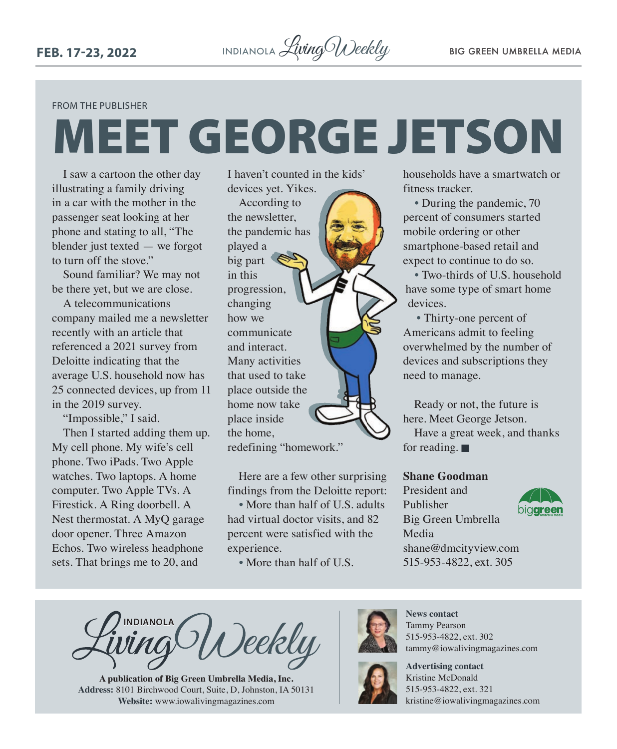#### FROM THE PUBLISHER

# MEET GEORGE JETSON

I saw a cartoon the other day illustrating a family driving in a car with the mother in the passenger seat looking at her phone and stating to all, "The blender just texted — we forgot to turn off the stove."

Sound familiar? We may not be there yet, but we are close.

A telecommunications company mailed me a newsletter recently with an article that referenced a 2021 survey from Deloitte indicating that the average U.S. household now has 25 connected devices, up from 11 in the 2019 survey.

"Impossible," I said. Then I started adding them up. My cell phone. My wife's cell phone. Two iPads. Two Apple watches. Two laptops. A home computer. Two Apple TVs. A Firestick. A Ring doorbell. A Nest thermostat. A MyQ garage door opener. Three Amazon Echos. Two wireless headphone sets. That brings me to 20, and

I haven't counted in the kids' devices yet. Yikes.

According to the newsletter, the pandemic has played a big part in this progression, changing how we communicate and interact. Many activities that used to take place outside the home now take place inside the home, redefining "homework."

Here are a few other surprising findings from the Deloitte report:

• More than half of U.S. adults had virtual doctor visits, and 82 percent were satisfied with the experience.

• More than half of U.S.

households have a smartwatch or fitness tracker.

• During the pandemic, 70 percent of consumers started mobile ordering or other smartphone-based retail and expect to continue to do so.

• Two-thirds of U.S. household have some type of smart home devices.

• Thirty-one percent of Americans admit to feeling overwhelmed by the number of devices and subscriptions they need to manage.

Ready or not, the future is here. Meet George Jetson.

Have a great week, and thanks for reading.  $\blacksquare$ 

### **Shane Goodman**

President and Publisher Big Green Umbrella Media [shane@dmcityview.com](mailto:shane@dmcityview.com) 515-953-4822, ext. 305



**INDIANOLA** Deekly

**A publication of Big Green Umbrella Media, Inc. Address:** 8101 Birchwood Court, Suite, D, Johnston, IA 50131 **Website:** [www.iowalivingmagazines.com](http://www.iowalivingmagazines.com)



**News contact** Tammy Pearson 515-953-4822, ext. 302 [tammy@iowalivingmagazines.com](mailto:tammy@iowalivingmagazines.com)



**Advertising contact** Kristine McDonald 515-953-4822, ext. 321 [kristine@iowalivingmagazines.com](mailto:kristine@iowalivingmagazines.com)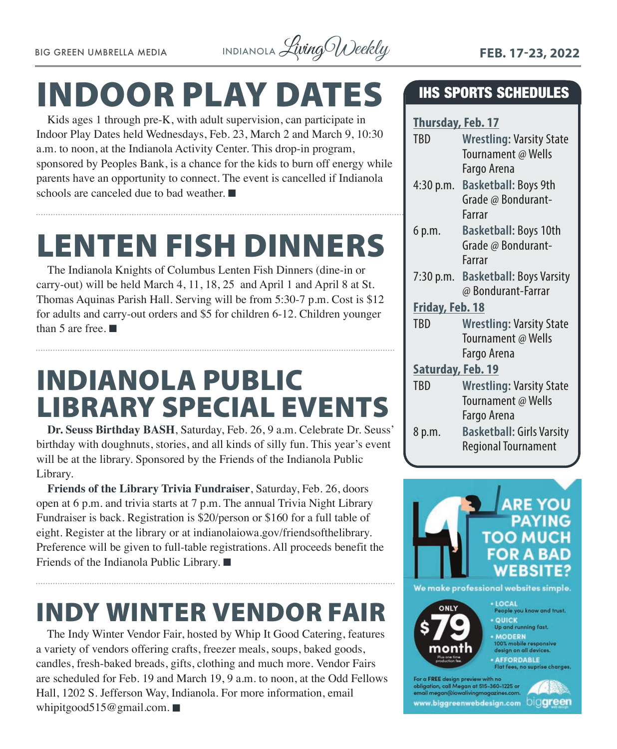

# INDOOR PLAY DATES

Kids ages 1 through pre-K, with adult supervision, can participate in Indoor Play Dates held Wednesdays, Feb. 23, March 2 and March 9, 10:30 a.m. to noon, at the Indianola Activity Center. This drop-in program, sponsored by Peoples Bank, is a chance for the kids to burn off energy while parents have an opportunity to connect. The event is cancelled if Indianola schools are canceled due to bad weather.  $\blacksquare$ 

# LENTEN FISH DINNERS

The Indianola Knights of Columbus Lenten Fish Dinners (dine-in or carry-out) will be held March 4, 11, 18, 25 and April 1 and April 8 at St. Thomas Aquinas Parish Hall. Serving will be from 5:30-7 p.m. Cost is \$12 for adults and carry-out orders and \$5 for children 6-12. Children younger than 5 are free.  $\blacksquare$ 

# INDIANOLA PUBLIC LIBRARY SPECIAL EVENTS

**Dr. Seuss Birthday BASH**, Saturday, Feb. 26, 9 a.m. Celebrate Dr. Seuss' birthday with doughnuts, stories, and all kinds of silly fun. This year's event will be at the library. Sponsored by the Friends of the Indianola Public Library.

**Friends of the Library Trivia Fundraiser**, Saturday, Feb. 26, doors open at 6 p.m. and trivia starts at 7 p.m. The annual Trivia Night Library Fundraiser is back. Registration is \$20/person or \$160 for a full table of eight. Register at the library or at [indianolaiowa.gov/friendsofthelibrary.](http://indianolaiowa.gov/friendsofthelibrary) Preference will be given to full-table registrations. All proceeds benefit the Friends of the Indianola Public Library.  $\blacksquare$ 

# INDY WINTER VENDOR FAIR

The Indy Winter Vendor Fair, hosted by Whip It Good Catering, features a variety of vendors offering crafts, freezer meals, soups, baked goods, candles, fresh-baked breads, gifts, clothing and much more. Vendor Fairs are scheduled for Feb. 19 and March 19, 9 a.m. to noon, at the Odd Fellows Hall, 1202 S. Jefferson Way, Indianola. For more information, email [whipitgood515@gmail.com](mailto:whipitgood515@gmail.com).  $\blacksquare$ 

### IHS SPORTS SCHEDULES

| <b>Thursday, Feb. 17</b> |                                                       |  |
|--------------------------|-------------------------------------------------------|--|
| <b>TBD</b>               | <b>Wrestling: Varsity State</b><br>Tournament @ Wells |  |
|                          | Fargo Arena                                           |  |
| 4:30 p.m.                | <b>Basketball: Boys 9th</b>                           |  |
|                          | Grade @ Bondurant-                                    |  |
|                          | Farrar                                                |  |
| 6 p.m.                   | <b>Basketball: Boys 10th</b>                          |  |
|                          | Grade @ Bondurant-                                    |  |
|                          | Farrar                                                |  |
|                          | 7:30 p.m. Basketball: Boys Varsity                    |  |
|                          | @ Bondurant-Farrar                                    |  |
| <b>Friday, Feb. 18</b>   |                                                       |  |
| <b>TBD</b>               | <b>Wrestling: Varsity State</b>                       |  |
|                          | Tournament @ Wells                                    |  |
|                          | Fargo Arena                                           |  |
| Saturday, Feb. 19        |                                                       |  |
| TBD                      | <b>Wrestling: Varsity State</b>                       |  |
|                          | Tournament @ Wells                                    |  |
|                          | Fargo Arena                                           |  |
| 8 p.m.                   | <b>Basketball: Girls Varsity</b>                      |  |
|                          | <b>Regional Tournament</b>                            |  |

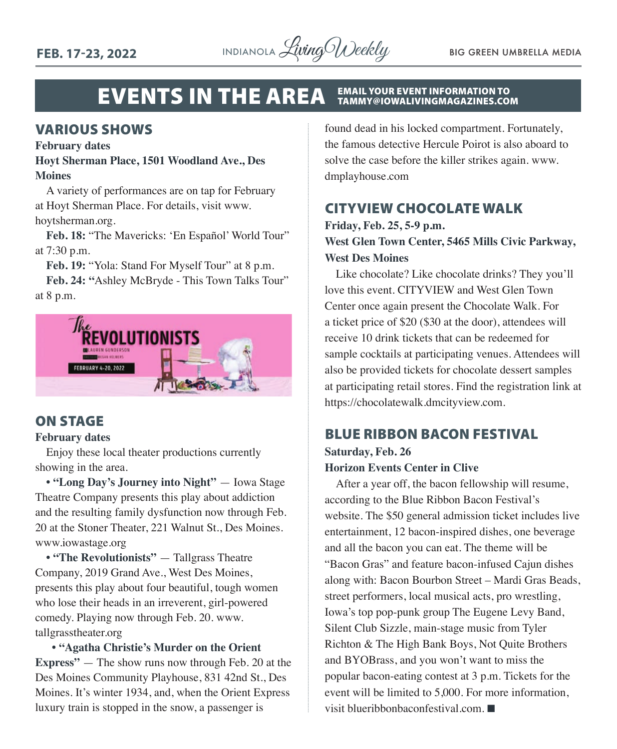

#### EVENTS IN THE AREA EMAIL YOUR EVENT INFORMATION TO TAMMY@IOWALIVINGMAGAZINES.COM

### VARIOUS SHOWS

#### **February dates**

### **Hoyt Sherman Place, 1501 Woodland Ave., Des Moines**

A variety of performances are on tap for February at Hoyt Sherman Place. For details, visit [www.](http://www.hoytsherman.org) [hoytsherman.org](http://www.hoytsherman.org).

**Feb. 18:** "The Mavericks: 'En Español' World Tour" at 7:30 p.m.

**Feb. 19:** "Yola: Stand For Myself Tour" at 8 p.m.

**Feb. 24: "**Ashley McBryde - This Town Talks Tour" at 8 p.m.



### ON STAGE

### **February dates**

Enjoy these local theater productions currently showing in the area.

**• "Long Day's Journey into Night"** — Iowa Stage Theatre Company presents this play about addiction and the resulting family dysfunction now through Feb. 20 at the Stoner Theater, 221 Walnut St., Des Moines. [www.iowastage.org](http://www.iowastage.org)

**• "The Revolutionists"** — Tallgrass Theatre Company, 2019 Grand Ave., West Des Moines, presents this play about four beautiful, tough women who lose their heads in an irreverent, girl-powered comedy. Playing now through Feb. 20. [www.](http://www.tallgrasstheater.org) [tallgrasstheater.org](http://www.tallgrasstheater.org)

 **• "Agatha Christie's Murder on the Orient Express"** — The show runs now through Feb. 20 at the Des Moines Community Playhouse, 831 42nd St., Des Moines. It's winter 1934, and, when the Orient Express luxury train is stopped in the snow, a passenger is

found dead in his locked compartment. Fortunately, the famous detective Hercule Poirot is also aboard to solve the case before the killer strikes again. [www.](http://www.dmplayhouse.com) [dmplayhouse.com](http://www.dmplayhouse.com)

### CITYVIEW CHOCOLATE WALK

### **Friday, Feb. 25, 5-9 p.m. West Glen Town Center, 5465 Mills Civic Parkway, West Des Moines**

Like chocolate? Like chocolate drinks? They you'll love this event. CITYVIEW and West Glen Town Center once again present the Chocolate Walk. For a ticket price of \$20 (\$30 at the door), attendees will receive 10 drink tickets that can be redeemed for sample cocktails at participating venues. Attendees will also be provided tickets for chocolate dessert samples at participating retail stores. Find the registration link at [https://chocolatewalk.dmcityview.com.](https://chocolatewalk.dmcityview.com)

### BLUE RIBBON BACON FESTIVAL

### **Saturday, Feb. 26 Horizon Events Center in Clive**

After a year off, the bacon fellowship will resume, according to the Blue Ribbon Bacon Festival's website. The \$50 general admission ticket includes live entertainment, 12 bacon-inspired dishes, one beverage and all the bacon you can eat. The theme will be "Bacon Gras" and feature bacon-infused Cajun dishes along with: Bacon Bourbon Street – Mardi Gras Beads, street performers, local musical acts, pro wrestling, Iowa's top pop-punk group The Eugene Levy Band, Silent Club Sizzle, main-stage music from Tyler Richton & The High Bank Boys, Not Quite Brothers and BYOBrass, and you won't want to miss the popular bacon-eating contest at 3 p.m. Tickets for the event will be limited to 5,000. For more information, visit [blueribbonbaconfestival.com](http://blueribbonbaconfestival.com).  $\blacksquare$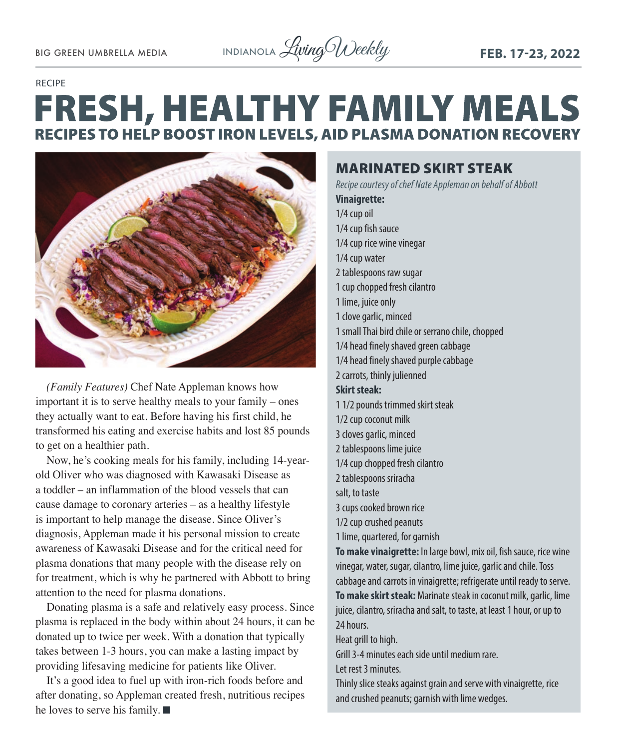#### RECIPE

## **FRESH, HEALTHY FAMILY MEALS RECIPES TO HELP BOOST IRON LEVELS, AID PLASMA DONATION RECOVERY**



*(Family Features)* Chef Nate Appleman knows how important it is to serve healthy meals to your family – ones they actually want to eat. Before having his first child, he transformed his eating and exercise habits and lost 85 pounds to get on a healthier path.

Now, he's cooking meals for his family, including 14-yearold Oliver who was diagnosed with Kawasaki Disease as a toddler – an inflammation of the blood vessels that can cause damage to coronary arteries – as a healthy lifestyle is important to help manage the disease. Since Oliver's diagnosis, Appleman made it his personal mission to create awareness of Kawasaki Disease and for the critical need for plasma donations that many people with the disease rely on for treatment, which is why he partnered with Abbott to bring attention to the need for plasma donations.

Donating plasma is a safe and relatively easy process. Since plasma is replaced in the body within about 24 hours, it can be donated up to twice per week. With a donation that typically takes between 1-3 hours, you can make a lasting impact by providing lifesaving medicine for patients like Oliver.

It's a good idea to fuel up with iron-rich foods before and after donating, so Appleman created fresh, nutritious recipes he loves to serve his family.  $\blacksquare$ 

### MARINATED SKIRT STEAK

*Recipe courtesy of chef Nate Appleman on behalf of Abbott* **Vinaigrette:** 1/4 cup oil 1/4 cup fish sauce 1/4 cup rice wine vinegar 1/4 cup water 2 tablespoons raw sugar 1 cup chopped fresh cilantro 1 lime, juice only 1 clove garlic, minced 1 small Thai bird chile or serrano chile, chopped 1/4 head finely shaved green cabbage 1/4 head finely shaved purple cabbage 2 carrots, thinly julienned **Skirt steak:**  1 1/2 pounds trimmed skirt steak 1/2 cup coconut milk 3 cloves garlic, minced 2 tablespoons lime juice 1/4 cup chopped fresh cilantro 2 tablespoons sriracha salt, to taste 3 cups cooked brown rice 1/2 cup crushed peanuts 1 lime, quartered, for garnish **To make vinaigrette:** In large bowl, mix oil, fish sauce, rice wine vinegar, water, sugar, cilantro, lime juice, garlic and chile. Toss cabbage and carrots in vinaigrette; refrigerate until ready to serve. **To make skirt steak:** Marinate steak in coconut milk, garlic, lime juice, cilantro, sriracha and salt, to taste, at least 1 hour, or up to 24 hours. Heat grill to high. Grill 3-4 minutes each side until medium rare. Let rest 3 minutes. Thinly slice steaks against grain and serve with vinaigrette, rice and crushed peanuts; garnish with lime wedges.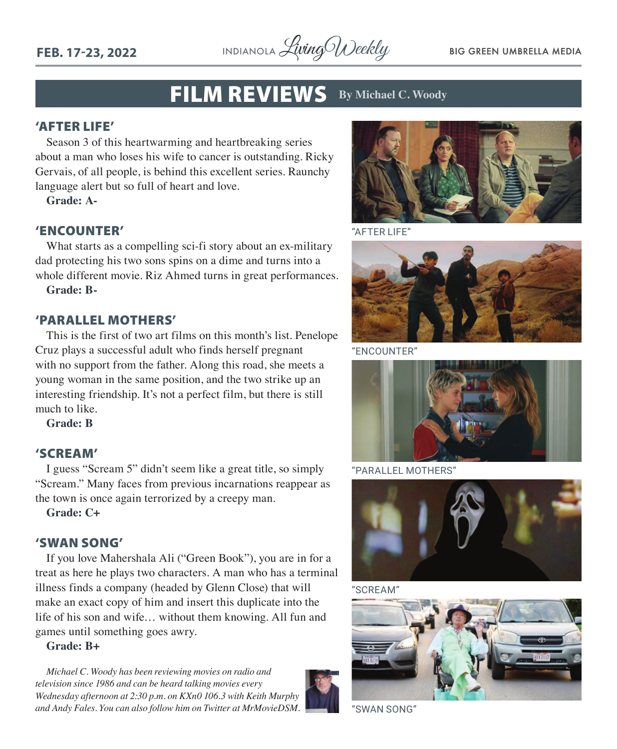**FEB. 17-23, 2022** INDIANOLA LivingWeekly BIG GREEN UMBRELLA MEDIA

### FILM REVIEWS **By Michael C. Woody**

### 'AFTER LIFE'

Season 3 of this heartwarming and heartbreaking series about a man who loses his wife to cancer is outstanding. Ricky Gervais, of all people, is behind this excellent series. Raunchy language alert but so full of heart and love.

**Grade: A-**

### 'ENCOUNTER'

What starts as a compelling sci-fi story about an ex-military dad protecting his two sons spins on a dime and turns into a whole different movie. Riz Ahmed turns in great performances.

**Grade: B-**

### 'PARALLEL MOTHERS'

This is the first of two art films on this month's list. Penelope Cruz plays a successful adult who finds herself pregnant with no support from the father. Along this road, she meets a young woman in the same position, and the two strike up an interesting friendship. It's not a perfect film, but there is still much to like.

**Grade: B**

### 'SCREAM'

I guess "Scream 5" didn't seem like a great title, so simply "Scream." Many faces from previous incarnations reappear as the town is once again terrorized by a creepy man.

**Grade: C+**

### 'SWAN SONG'

If you love Mahershala Ali ("Green Book"), you are in for a treat as here he plays two characters. A man who has a terminal illness finds a company (headed by Glenn Close) that will make an exact copy of him and insert this duplicate into the life of his son and wife… without them knowing. All fun and games until something goes awry.

### **Grade: B+**

*Michael C. Woody has been reviewing movies on radio and television since 1986 and can be heard talking movies every Wednesday afternoon at 2:30 p.m. on KXn0 106.3 with Keith Murphy and Andy Fales. You can also follow him on Twitter at MrMovieDSM.* "SWAN SONG"





"AFTER LIFE"



"ENCOUNTER"



"PARALLEL MOTHERS"



"SCREAM"

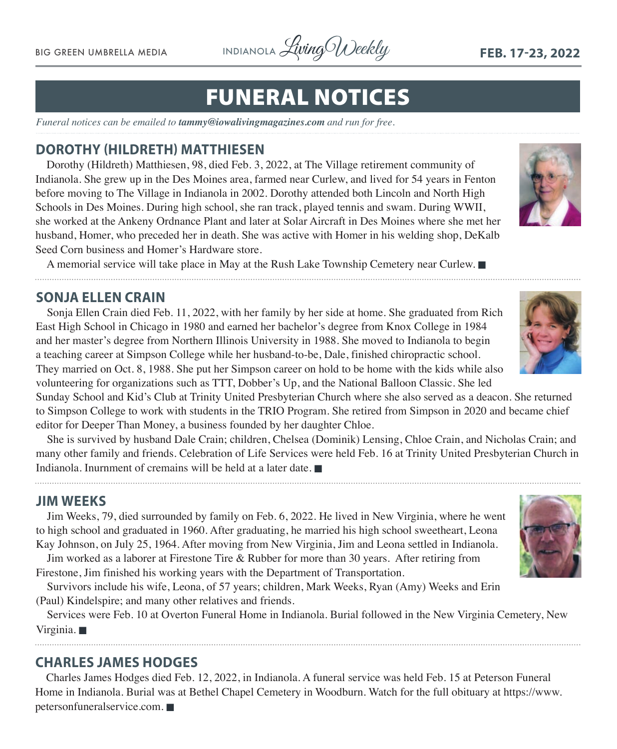BIG GREEN UMBRELLA MEDIA INDIANOLA *Living Weekly* FEB. 17-23, 2022

## FUNERAL NOTICES

*Funeral notices can be emailed to [tammy@iowalivingmagazines.com](mailto:tammy@iowalivingmagazines.com) and run for free.*

### **DOROTHY (HILDRETH) MATTHIESEN**

Dorothy (Hildreth) Matthiesen, 98, died Feb. 3, 2022, at The Village retirement community of Indianola. She grew up in the Des Moines area, farmed near Curlew, and lived for 54 years in Fenton before moving to The Village in Indianola in 2002. Dorothy attended both Lincoln and North High Schools in Des Moines. During high school, she ran track, played tennis and swam. During WWII, she worked at the Ankeny Ordnance Plant and later at Solar Aircraft in Des Moines where she met her husband, Homer, who preceded her in death. She was active with Homer in his welding shop, DeKalb Seed Corn business and Homer's Hardware store.

A memorial service will take place in May at the Rush Lake Township Cemetery near Curlew.

### **SONJA ELLEN CRAIN**

Sonja Ellen Crain died Feb. 11, 2022, with her family by her side at home. She graduated from Rich East High School in Chicago in 1980 and earned her bachelor's degree from Knox College in 1984 and her master's degree from Northern Illinois University in 1988. She moved to Indianola to begin a teaching career at Simpson College while her husband-to-be, Dale, finished chiropractic school. They married on Oct. 8, 1988. She put her Simpson career on hold to be home with the kids while also volunteering for organizations such as TTT, Dobber's Up, and the National Balloon Classic. She led

Sunday School and Kid's Club at Trinity United Presbyterian Church where she also served as a deacon. She returned to Simpson College to work with students in the TRIO Program. She retired from Simpson in 2020 and became chief editor for Deeper Than Money, a business founded by her daughter Chloe.

She is survived by husband Dale Crain; children, Chelsea (Dominik) Lensing, Chloe Crain, and Nicholas Crain; and many other family and friends. Celebration of Life Services were held Feb. 16 at Trinity United Presbyterian Church in Indianola. Inurnment of cremains will be held at a later date.  $\blacksquare$ 

### **JIM WEEKS**

Jim Weeks, 79, died surrounded by family on Feb. 6, 2022. He lived in New Virginia, where he went to high school and graduated in 1960. After graduating, he married his high school sweetheart, Leona Kay Johnson, on July 25, 1964. After moving from New Virginia, Jim and Leona settled in Indianola.

Jim worked as a laborer at Firestone Tire & Rubber for more than 30 years. After retiring from Firestone, Jim finished his working years with the Department of Transportation.

Survivors include his wife, Leona, of 57 years; children, Mark Weeks, Ryan (Amy) Weeks and Erin (Paul) Kindelspire; and many other relatives and friends.

Services were Feb. 10 at Overton Funeral Home in Indianola. Burial followed in the New Virginia Cemetery, New Virginia.

### **CHARLES JAMES HODGES**

Charles James Hodges died Feb. 12, 2022, in Indianola. A funeral service was held Feb. 15 at Peterson Funeral Home in Indianola. Burial was at Bethel Chapel Cemetery in Woodburn. Watch for the full obituary at [https://www.](https://www.petersonfuneralservice.com) [petersonfuneralservice.com](https://www.petersonfuneralservice.com).